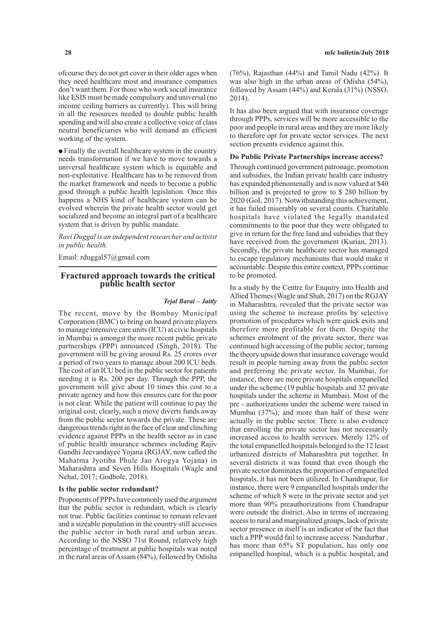ofcourse they do not get cover in their older ages when they need healthcare most and insurance companies don't want them. For those who work social insurance like ESIS must be made compulsory and universal (no income ceiling barriers as currently). This will bring in all the resources needed to double public health spending and will also create a collective voice of class neutral beneficiaries who will demand an efficient working of the system.

● Finally the overall healthcare system in the country needs transformation if we have to move towards a universal healthcare system which is equitable and non-exploitative. Healthcare has to be removed from the market framework and needs to become a public good through a public health legislation. Once this happens a NHS kind of healthcare system can be evolved wherein the private health sector would get socialized and become an integral part of a healthcare system that is driven by public mandate.

*Ravi Duggal is an independent researcher and activist in public health.*

Email: rduggal57@gmail.com

# **Fractured approach towards the critical public health sector**

#### *Tejal Barai – Jaitly*

The recent, move by the Bombay Municipal Corporation (BMC) to bring on board private players to manage intensive care units (ICU) at civic hospitals in Mumbai is amongst the more recent public private partnerships (PPP) announced (Singh, 2018). The government will be giving around Rs. 25 crores over a period of two years to manage about 200 ICU beds. The cost of an ICU bed in the public sector for patients needing it is Rs. 200 per day. Through the PPP, the government will give about 10 times this cost to a private agency and how this ensures care for the poor is not clear. While the patient will continue to pay the original cost, clearly, such a move diverts funds away from the public sector towards the private. These are dangerous trends right in the face of clear and clinching evidence against PPPs in the health sector as in case of public health insurance schemes including Rajiv Gandhi Jeevandayee Yojana (RGJAY, now called the Mahatma Jyotiba Phule Jan Arogya Yojana) in Maharashtra and Seven Hills Hospitals (Wagle and Nehal, 2017; Godbole, 2018).

## **Is the public sector redundant?**

Proponents of PPPs have commonly used the argument that the public sector is redundant, which is clearly not true. Public facilities continue to remain relevant and a sizeable population in the country still accesses the public sector in both rural and urban areas. According to the NSSO 71st Round, relatively high percentage of treatment at public hospitals was noted in the rural areas of Assam (84%), followed by Odisha

(76%), Rajasthan (44%) and Tamil Nadu (42%). It was also high in the urban areas of Odisha (54%), followed by Assam (44%) and Kerala (31%) (NSSO, 2014).

It has also been argued that with insurance coverage through PPPs, services will be more accessible to the poor and people in rural areas and they are more likely to therefore opt for private sector services. The next section presents evidence against this.

#### **Do Public Private Partnerships increase access?**

Through continued government patronage, promotion and subsidies, the Indian private health care industry has expanded phenomenally and is now valued at \$40 billion and is projected to grow to \$ 280 billion by 2020 (GoI, 2017). Notwithstanding this achievement, it has failed miserably on several counts. Charitable hospitals have violated the legally mandated commitments to the poor that they were obligated to give in return for the free land and subsidies that they have received from the government (Kurian, 2013). Secondly, the private healthcare sector has managed to escape regulatory mechanisms that would make it accountable. Despite this entire context, PPPs continue to be promoted.

In a study by the Centre for Enquiry into Health and Allied Themes (Wagle and Shah, 2017) on the RGJAY in Maharashtra, revealed that the private sector was using the scheme to increase profits by selective promotion of procedures which were quick exits and therefore more profitable for them. Despite the schemes enrolment of the private sector, there was continued high accessing of the public sector; turning the theory upside down that insurance coverage would result in people turning away from the public sector and preferring the private sector. In Mumbai, for instance, there are more private hospitals empanelled under the scheme (19 public hospitals and 32 private hospitals under the scheme in Mumbai). Most of the pre - authorizations under the scheme were raised in Mumbai (37%); and more than half of these were actually in the public sector. There is also evidence that enrolling the private sector has not necessarily increased access to health services. Merely 12% of the total empanelled hospitals belonged to the 12 least urbanized districts of Maharashtra put together. In several districts it was found that even though the private sector dominates the proportion of empanelled hospitals, it has not been utilized. In Chandrapur, for instance, there were 9 empanelled hospitals under the scheme of which 8 were in the private sector and yet more than 90% preauthorizations from Chandrapur were outside the district. Also in terms of increasing access to rural and marginalized groups, lack of private sector presence in itself is an indicator of the fact that such a PPP would fail to increase access. Nandurbar , has more than 65% ST population, has only one empanelled hospital, which is a public hospital, and